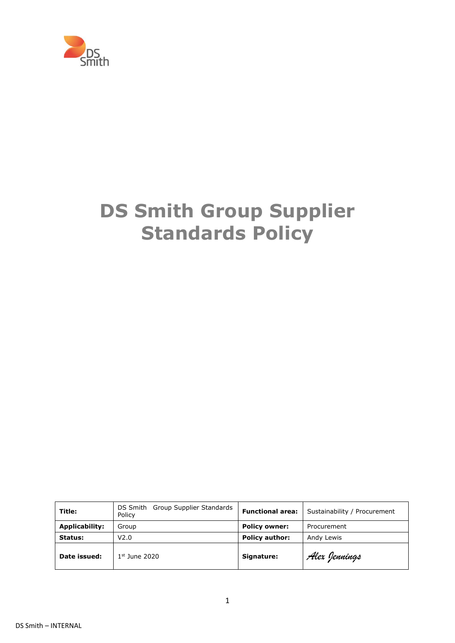

# **DS Smith Group Supplier Standards Policy**

| Title:         | DS Smith Group Supplier Standards<br>Policy | <b>Functional area:</b> | Sustainability / Procurement |
|----------------|---------------------------------------------|-------------------------|------------------------------|
| Applicability: | Group                                       | <b>Policy owner:</b>    | Procurement                  |
| Status:        | V <sub>2.0</sub>                            | <b>Policy author:</b>   | Andy Lewis                   |
| Date issued:   | $1st$ June 2020                             | Signature:              | Alex Jennings                |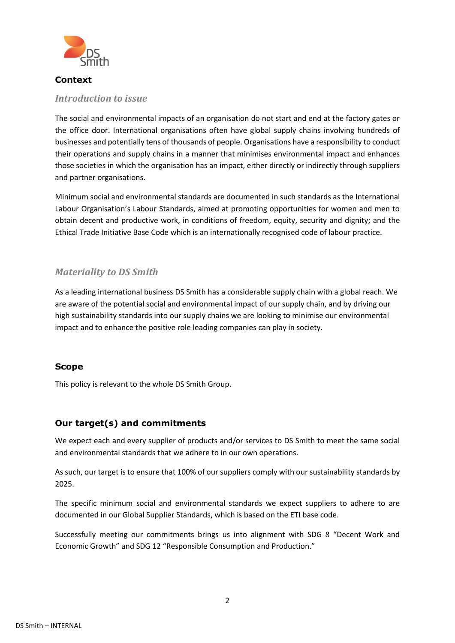

#### **Context**

#### *Introduction to issue*

The social and environmental impacts of an organisation do not start and end at the factory gates or the office door. International organisations often have global supply chains involving hundreds of businesses and potentially tens of thousands of people. Organisations have a responsibility to conduct their operations and supply chains in a manner that minimises environmental impact and enhances those societies in which the organisation has an impact, either directly or indirectly through suppliers and partner organisations.

Minimum social and environmental standards are documented in such standards as the International Labour Organisation's Labour Standards, aimed at promoting opportunities for women and men to obtain decent and productive work, in conditions of freedom, equity, security and dignity; and the Ethical Trade Initiative Base Code which is an internationally recognised code of labour practice.

# *Materiality to DS Smith*

As a leading international business DS Smith has a considerable supply chain with a global reach. We are aware of the potential social and environmental impact of our supply chain, and by driving our high sustainability standards into our supply chains we are looking to minimise our environmental impact and to enhance the positive role leading companies can play in society.

# **Scope**

This policy is relevant to the whole DS Smith Group.

# **Our target(s) and commitments**

We expect each and every supplier of products and/or services to DS Smith to meet the same social and environmental standards that we adhere to in our own operations.

As such, our target is to ensure that 100% of our suppliers comply with our sustainability standards by 2025.

The specific minimum social and environmental standards we expect suppliers to adhere to are documented in our Global Supplier Standards, which is based on the ETI base code.

Successfully meeting our commitments brings us into alignment with SDG 8 "Decent Work and Economic Growth" and SDG 12 "Responsible Consumption and Production."